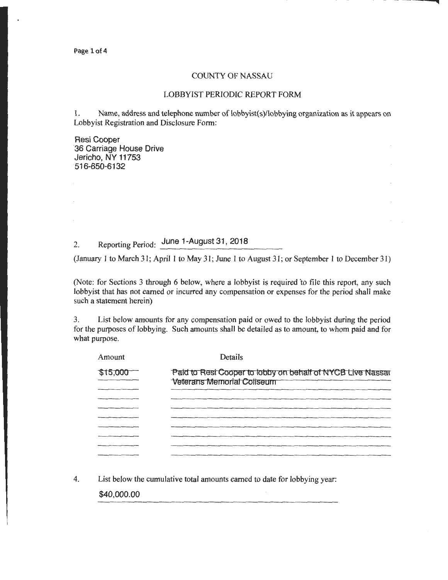Page 1 of 4

## COUNTY OF NASSAU

## LOBBYIST PERIODIC REPORT FORM

1. Name, address and telephone number of lobbyist(s)/lobbying organization as it appears on Lobbyist Registration and Disclosure Form:

Resi Cooper 36 Carriage House Drive Jericho, NY 11753 516-650-6132

## 2. Reporting Period: June 1-August 31, 2018

(January 1 to March 31; April 1 to May 31; June 1 to August 31; or September 1 to December 31)

(Note: for Sections 3 through 6 below, where a lobbyist is required 'to file this report, any such lobbyist that has not earned or incurred any compensation or expenses for the period shall make such a statement herein)

3. List below amounts for any compensation paid or owed to the lobbyist during the period for the purposes of lobbying. Such amounts shall be detailed as to amount, to whom paid and for what purpose.

| Amount   | Details                                                                                         |
|----------|-------------------------------------------------------------------------------------------------|
| \$15,000 | Paid to Resi Cooper to lobby on behalf of NYCB Live Nassar<br><b>Veterans Memorial Coliseum</b> |
|          |                                                                                                 |
|          |                                                                                                 |
|          |                                                                                                 |
|          |                                                                                                 |
|          |                                                                                                 |

4. List below the cumulative total amounts earned to date for lobbying year:

\$40,000.00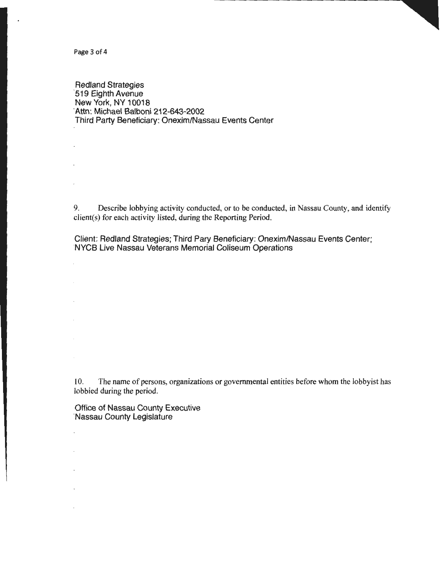Page 3 of 4

 $\ddot{\phantom{a}}$ 

Redland Strategies ·519 Eighth Avenue New York, NY 10018 ·Attn: Michael Balboni 212-643-2002 Third Party Beneficiary: Onexim/Nassau Events Center

9. Describe lobbying activity conducted, or to be conducted, in Nassau County, and identify client(s) for each activity listed, during the Reporting Period.

Client: Redland Strategies; Third Pary Beneficiary: Onexim/Nassau Events Center; NYCB Live Nassau Veterans Memorial Coliseum Operations

10. The name of persons, organizations or governmental entities before whom the lobbyist has lobbied during the period.

Office of Nassau County Executive ·Nassau County Legislature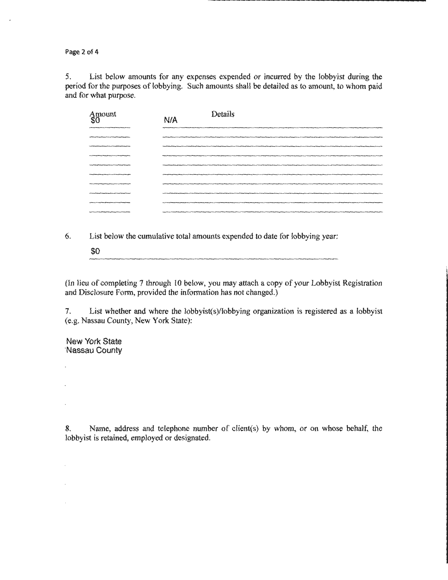Page 2 of 4

5. List below amounts for any expenses expended or incurred by the lobbyist during the period for the purposes of lobbying. Such amounts shall be detailed as to amount, to whom paid and for what purpose.

| Amount<br>\$0                                                            | N/A | Details |
|--------------------------------------------------------------------------|-----|---------|
|                                                                          |     |         |
| <b><i><u><u>A CONTEMPORTATION CONTEMPORTATION CONTEMPORT</u></u></i></b> |     |         |
|                                                                          |     |         |
|                                                                          |     |         |
| <b>Service concentration in contrast concent</b>                         |     |         |
|                                                                          |     |         |
|                                                                          |     |         |
| ______                                                                   |     |         |
|                                                                          |     |         |

- 6. List below the cumulative total amounts expended to date for lobbying year:
	- \$0

(In lieu of completing 7 through 10 below, you may attach a copy of your Lobbyist Registration and Disclosure Form, provided the information has not changed.)

7. List whether and where the lobbyist(s)/lobbying organization is registered as a lobbyist (e.g. Nassau County, New York State):

New York State ·Nassau County

 $\ddot{\phantom{a}}$ 

 $\cdot$ 

 $\cdot$ 

 $\bar{z}$ 

8. Name, address and telephone number of client(s) by whom, or on whose behalf, the lobbyist is retained, employed or designated.